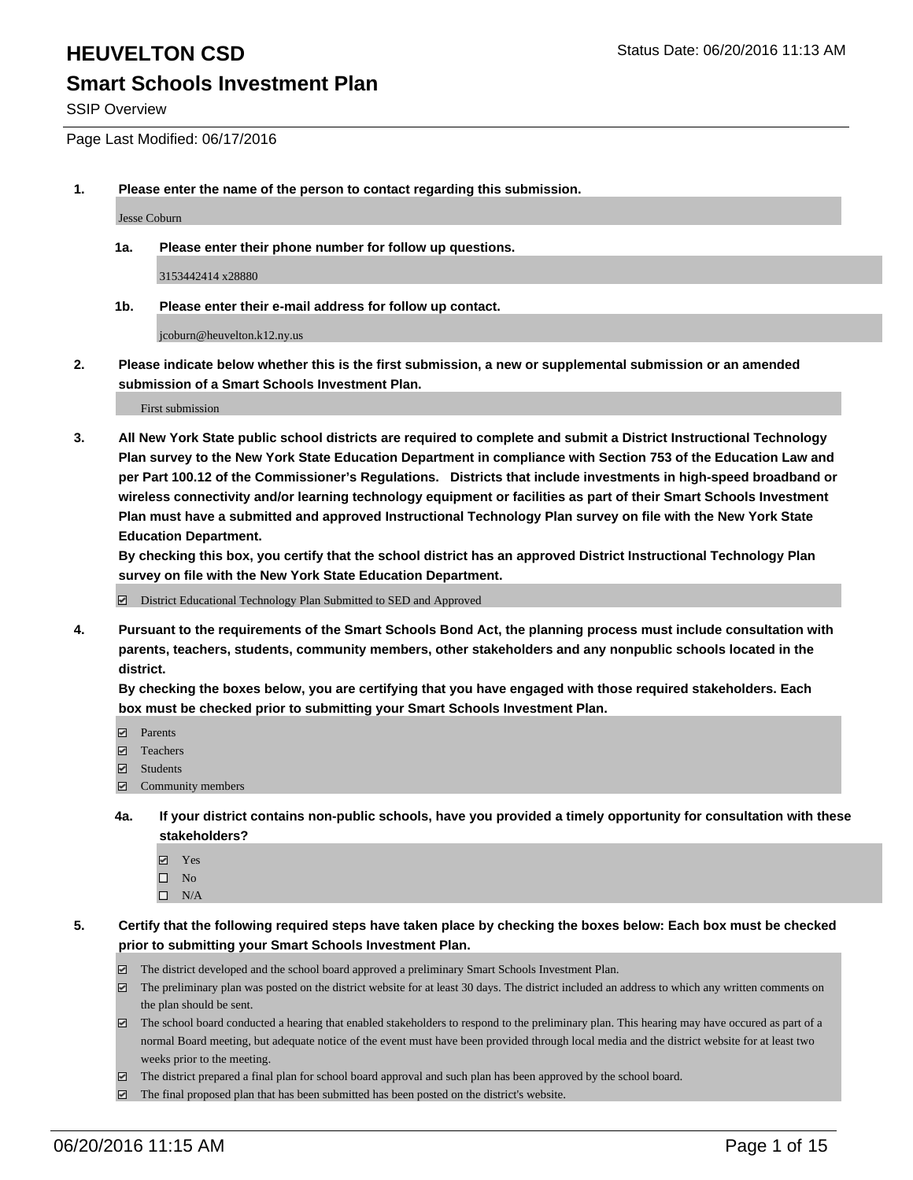SSIP Overview

Page Last Modified: 06/17/2016

**1. Please enter the name of the person to contact regarding this submission.**

Jesse Coburn

**1a. Please enter their phone number for follow up questions.**

3153442414 x28880

**1b. Please enter their e-mail address for follow up contact.**

jcoburn@heuvelton.k12.ny.us

**2. Please indicate below whether this is the first submission, a new or supplemental submission or an amended submission of a Smart Schools Investment Plan.**

First submission

**3. All New York State public school districts are required to complete and submit a District Instructional Technology Plan survey to the New York State Education Department in compliance with Section 753 of the Education Law and per Part 100.12 of the Commissioner's Regulations. Districts that include investments in high-speed broadband or wireless connectivity and/or learning technology equipment or facilities as part of their Smart Schools Investment Plan must have a submitted and approved Instructional Technology Plan survey on file with the New York State Education Department.** 

**By checking this box, you certify that the school district has an approved District Instructional Technology Plan survey on file with the New York State Education Department.**

District Educational Technology Plan Submitted to SED and Approved

**4. Pursuant to the requirements of the Smart Schools Bond Act, the planning process must include consultation with parents, teachers, students, community members, other stakeholders and any nonpublic schools located in the district.** 

**By checking the boxes below, you are certifying that you have engaged with those required stakeholders. Each box must be checked prior to submitting your Smart Schools Investment Plan.**

- **Parents**
- Teachers
- Students
- Community members
- **4a. If your district contains non-public schools, have you provided a timely opportunity for consultation with these stakeholders?**
	- Yes  $\square$  No
	- $\square$  N/A
- **5. Certify that the following required steps have taken place by checking the boxes below: Each box must be checked prior to submitting your Smart Schools Investment Plan.**
	- The district developed and the school board approved a preliminary Smart Schools Investment Plan.
	- $\Box$  The preliminary plan was posted on the district website for at least 30 days. The district included an address to which any written comments on the plan should be sent.
	- $\Box$  The school board conducted a hearing that enabled stakeholders to respond to the preliminary plan. This hearing may have occured as part of a normal Board meeting, but adequate notice of the event must have been provided through local media and the district website for at least two weeks prior to the meeting.
	- The district prepared a final plan for school board approval and such plan has been approved by the school board.
	- $\boxdot$  The final proposed plan that has been submitted has been posted on the district's website.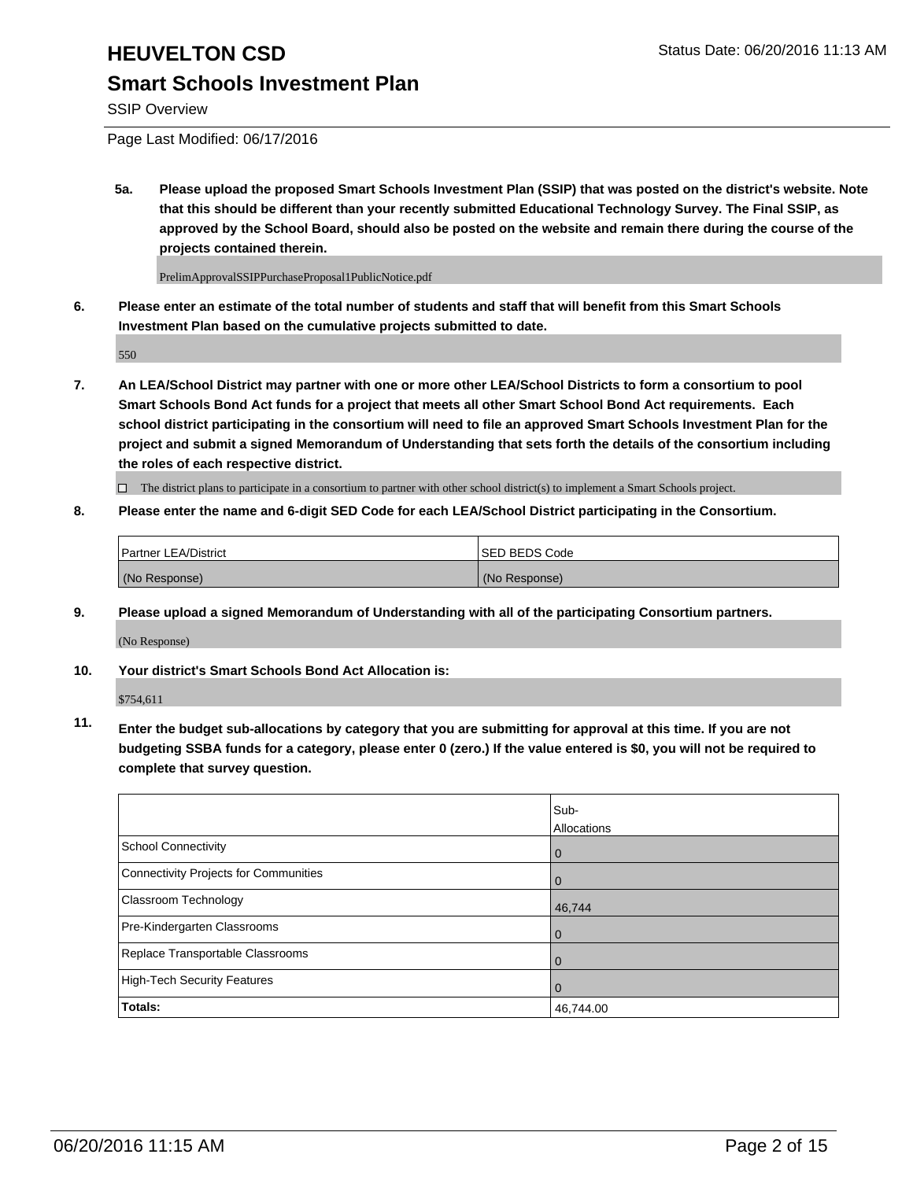SSIP Overview

Page Last Modified: 06/17/2016

**5a. Please upload the proposed Smart Schools Investment Plan (SSIP) that was posted on the district's website. Note that this should be different than your recently submitted Educational Technology Survey. The Final SSIP, as approved by the School Board, should also be posted on the website and remain there during the course of the projects contained therein.**

PrelimApprovalSSIPPurchaseProposal1PublicNotice.pdf

**6. Please enter an estimate of the total number of students and staff that will benefit from this Smart Schools Investment Plan based on the cumulative projects submitted to date.**

550

**7. An LEA/School District may partner with one or more other LEA/School Districts to form a consortium to pool Smart Schools Bond Act funds for a project that meets all other Smart School Bond Act requirements. Each school district participating in the consortium will need to file an approved Smart Schools Investment Plan for the project and submit a signed Memorandum of Understanding that sets forth the details of the consortium including the roles of each respective district.**

 $\Box$  The district plans to participate in a consortium to partner with other school district(s) to implement a Smart Schools project.

**8. Please enter the name and 6-digit SED Code for each LEA/School District participating in the Consortium.**

| <b>Partner LEA/District</b> | ISED BEDS Code |
|-----------------------------|----------------|
| (No Response)               | (No Response)  |

**9. Please upload a signed Memorandum of Understanding with all of the participating Consortium partners.** (No Response)

**10. Your district's Smart Schools Bond Act Allocation is:**

\$754,611

**11. Enter the budget sub-allocations by category that you are submitting for approval at this time. If you are not budgeting SSBA funds for a category, please enter 0 (zero.) If the value entered is \$0, you will not be required to complete that survey question.**

|                                       | Sub-        |
|---------------------------------------|-------------|
|                                       | Allocations |
| <b>School Connectivity</b>            | 0           |
| Connectivity Projects for Communities | $\Omega$    |
| Classroom Technology                  | 46,744      |
| Pre-Kindergarten Classrooms           | $\Omega$    |
| Replace Transportable Classrooms      | 0           |
| High-Tech Security Features           | 0           |
| Totals:                               | 46,744.00   |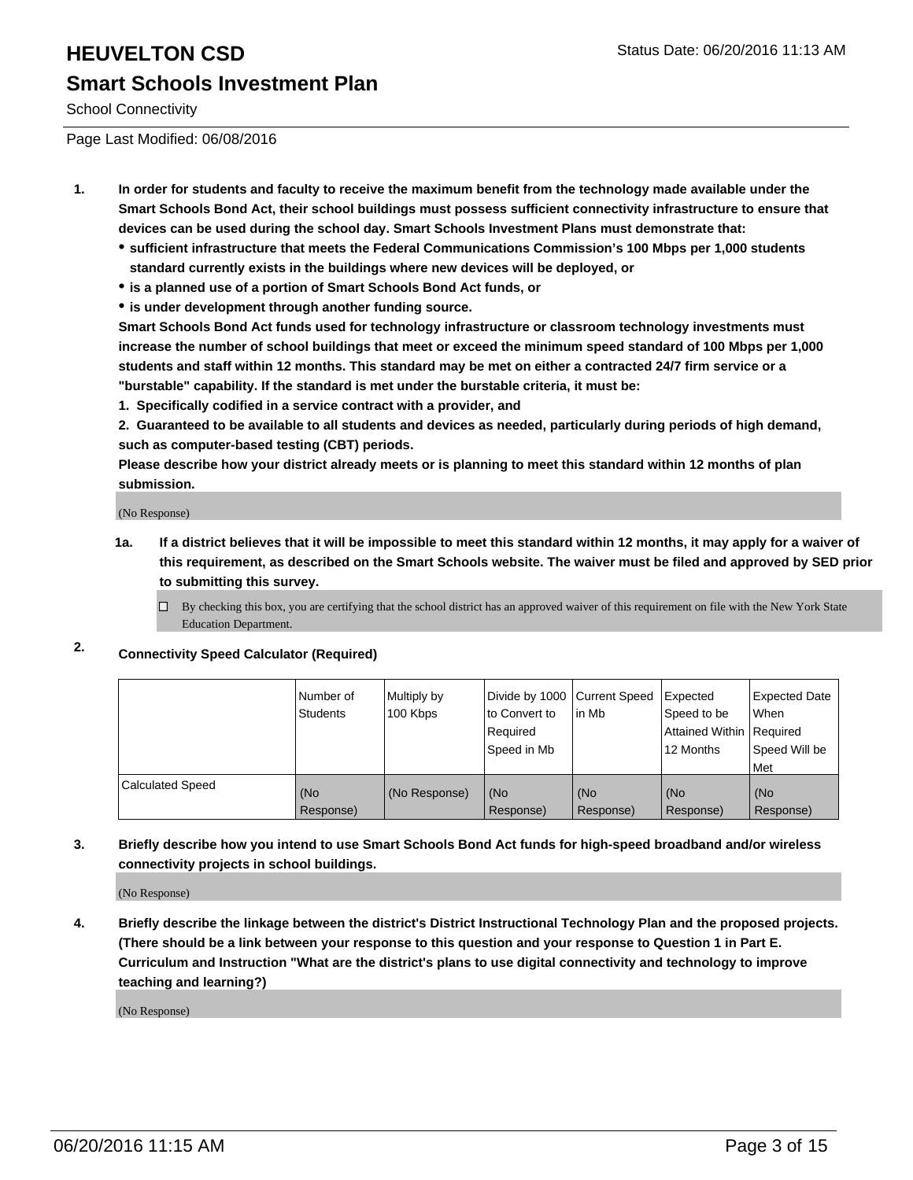# **HEUVELTON CSD Status Date: 06/20/2016 11:13 AM Smart Schools Investment Plan**

School Connectivity

Page Last Modified: 06/08/2016

- **1. In order for students and faculty to receive the maximum benefit from the technology made available under the Smart Schools Bond Act, their school buildings must possess sufficient connectivity infrastructure to ensure that devices can be used during the school day. Smart Schools Investment Plans must demonstrate that:**
	- **sufficient infrastructure that meets the Federal Communications Commission's 100 Mbps per 1,000 students standard currently exists in the buildings where new devices will be deployed, or**
	- **is a planned use of a portion of Smart Schools Bond Act funds, or**
	- **is under development through another funding source.**

**Smart Schools Bond Act funds used for technology infrastructure or classroom technology investments must increase the number of school buildings that meet or exceed the minimum speed standard of 100 Mbps per 1,000 students and staff within 12 months. This standard may be met on either a contracted 24/7 firm service or a "burstable" capability. If the standard is met under the burstable criteria, it must be:**

**1. Specifically codified in a service contract with a provider, and**

**2. Guaranteed to be available to all students and devices as needed, particularly during periods of high demand, such as computer-based testing (CBT) periods.**

**Please describe how your district already meets or is planning to meet this standard within 12 months of plan submission.**

(No Response)

- **1a. If a district believes that it will be impossible to meet this standard within 12 months, it may apply for a waiver of this requirement, as described on the Smart Schools website. The waiver must be filed and approved by SED prior to submitting this survey.**
	- $\Box$  By checking this box, you are certifying that the school district has an approved waiver of this requirement on file with the New York State Education Department.

### **2. Connectivity Speed Calculator (Required)**

|                         | Number of<br>Students | Multiply by<br>100 Kbps | Divide by 1000 Current Speed<br>to Convert to<br>Required<br>Speed in Mb | lin Mb           | Expected<br>Speed to be<br>Attained Within   Required<br>12 Months | <b>Expected Date</b><br><b>When</b><br>Speed Will be<br><b>Met</b> |
|-------------------------|-----------------------|-------------------------|--------------------------------------------------------------------------|------------------|--------------------------------------------------------------------|--------------------------------------------------------------------|
| <b>Calculated Speed</b> | l (No<br>Response)    | (No Response)           | (No<br>Response)                                                         | (No<br>Response) | (No<br>Response)                                                   | l (No<br>Response)                                                 |

**3. Briefly describe how you intend to use Smart Schools Bond Act funds for high-speed broadband and/or wireless connectivity projects in school buildings.**

(No Response)

**4. Briefly describe the linkage between the district's District Instructional Technology Plan and the proposed projects. (There should be a link between your response to this question and your response to Question 1 in Part E. Curriculum and Instruction "What are the district's plans to use digital connectivity and technology to improve teaching and learning?)**

(No Response)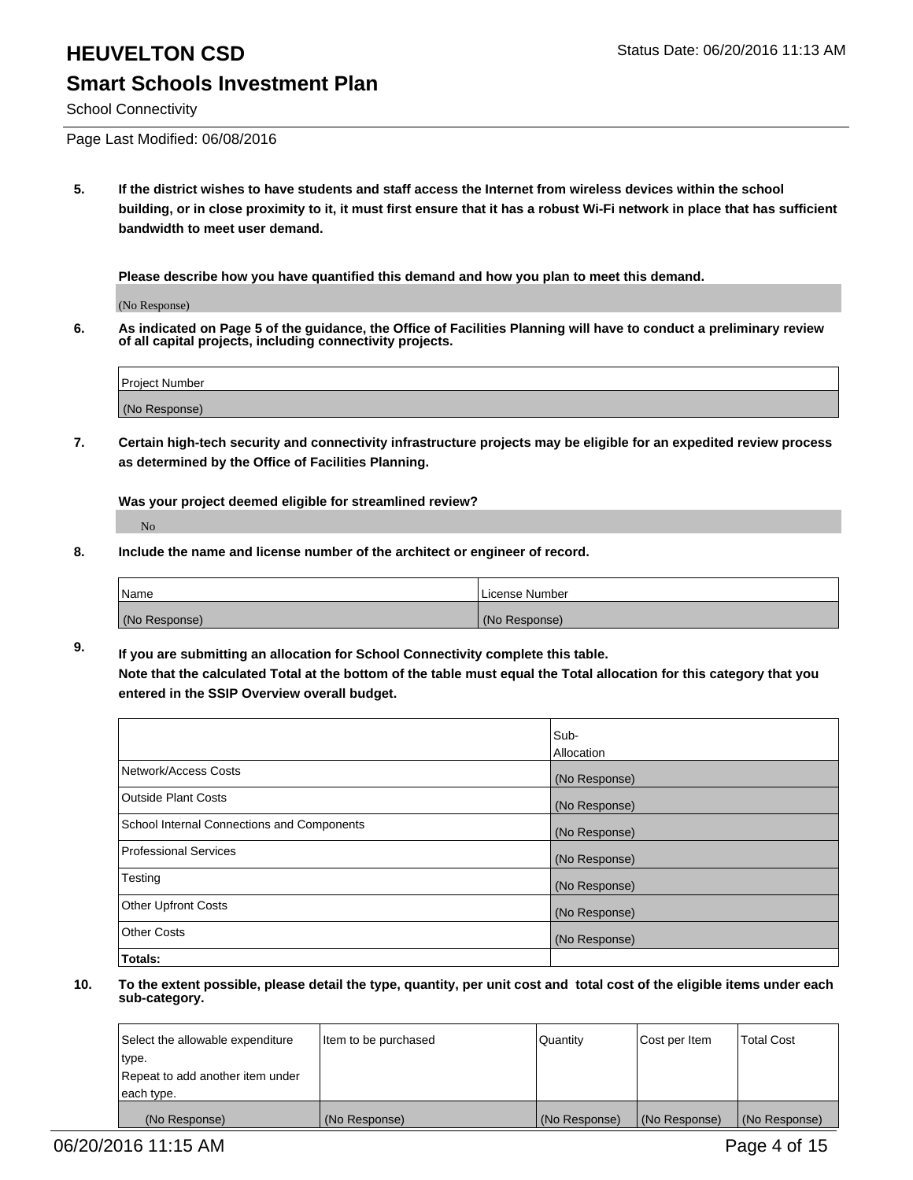# **HEUVELTON CSD Status Date: 06/20/2016 11:13 AM Smart Schools Investment Plan**

School Connectivity

Page Last Modified: 06/08/2016

**5. If the district wishes to have students and staff access the Internet from wireless devices within the school building, or in close proximity to it, it must first ensure that it has a robust Wi-Fi network in place that has sufficient bandwidth to meet user demand.**

**Please describe how you have quantified this demand and how you plan to meet this demand.**

(No Response)

**6. As indicated on Page 5 of the guidance, the Office of Facilities Planning will have to conduct a preliminary review of all capital projects, including connectivity projects.**

| <b>Project Number</b> |  |
|-----------------------|--|
| (No Response)         |  |

**7. Certain high-tech security and connectivity infrastructure projects may be eligible for an expedited review process as determined by the Office of Facilities Planning.**

**Was your project deemed eligible for streamlined review?**

No

**8. Include the name and license number of the architect or engineer of record.**

| Name          | License Number |
|---------------|----------------|
| (No Response) | (No Response)  |

**9. If you are submitting an allocation for School Connectivity complete this table. Note that the calculated Total at the bottom of the table must equal the Total allocation for this category that you entered in the SSIP Overview overall budget.** 

|                                            | Sub-          |
|--------------------------------------------|---------------|
|                                            | Allocation    |
| Network/Access Costs                       | (No Response) |
| <b>Outside Plant Costs</b>                 | (No Response) |
| School Internal Connections and Components | (No Response) |
| Professional Services                      | (No Response) |
| Testing                                    | (No Response) |
| <b>Other Upfront Costs</b>                 | (No Response) |
| <b>Other Costs</b>                         | (No Response) |
| Totals:                                    |               |

| Select the allowable expenditure | Item to be purchased | Quantity      | Cost per Item | <b>Total Cost</b> |
|----------------------------------|----------------------|---------------|---------------|-------------------|
| type.                            |                      |               |               |                   |
| Repeat to add another item under |                      |               |               |                   |
| each type.                       |                      |               |               |                   |
| (No Response)                    | (No Response)        | (No Response) | (No Response) | (No Response)     |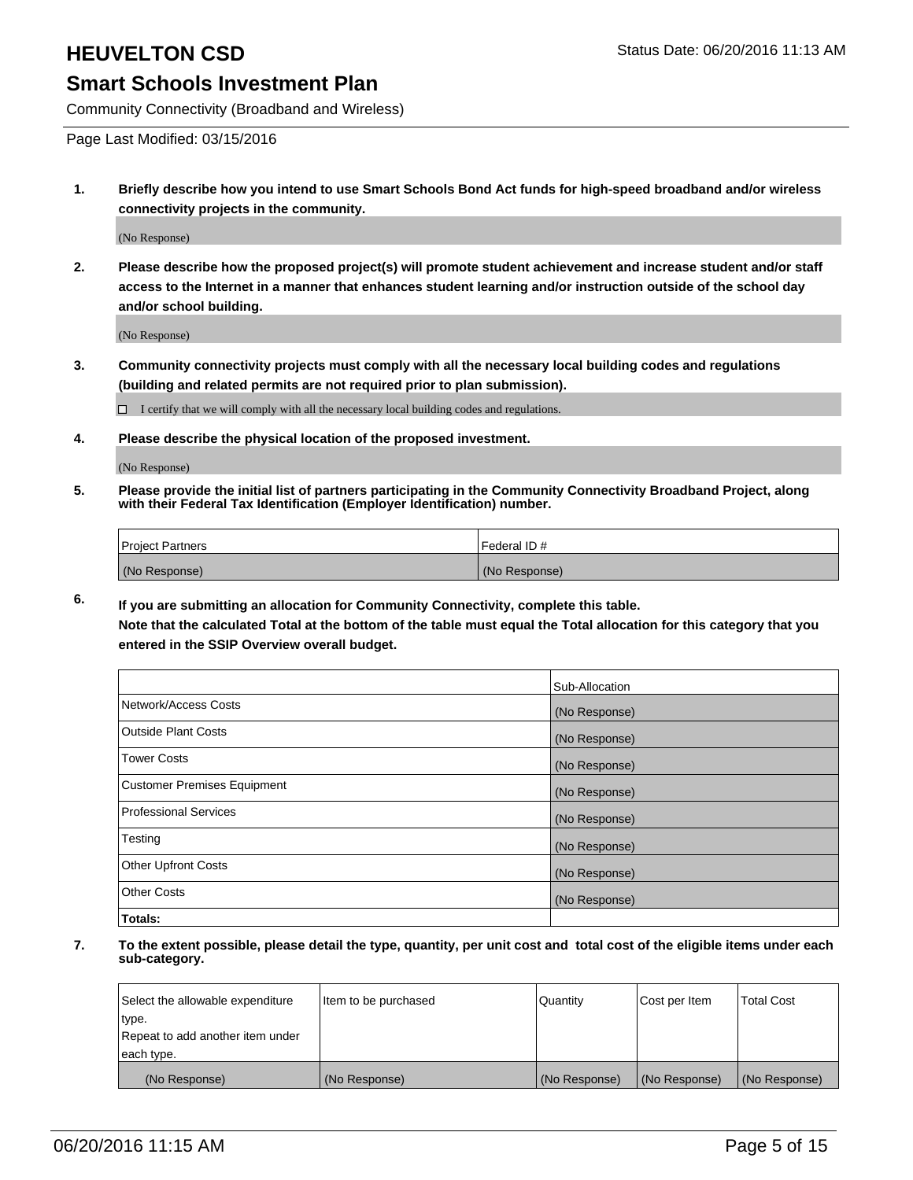Community Connectivity (Broadband and Wireless)

Page Last Modified: 03/15/2016

**1. Briefly describe how you intend to use Smart Schools Bond Act funds for high-speed broadband and/or wireless connectivity projects in the community.**

(No Response)

**2. Please describe how the proposed project(s) will promote student achievement and increase student and/or staff access to the Internet in a manner that enhances student learning and/or instruction outside of the school day and/or school building.**

(No Response)

**3. Community connectivity projects must comply with all the necessary local building codes and regulations (building and related permits are not required prior to plan submission).**

 $\Box$  I certify that we will comply with all the necessary local building codes and regulations.

**4. Please describe the physical location of the proposed investment.**

(No Response)

**5. Please provide the initial list of partners participating in the Community Connectivity Broadband Project, along with their Federal Tax Identification (Employer Identification) number.**

| Project Partners | I Federal ID # |
|------------------|----------------|
| (No Response)    | (No Response)  |

**6. If you are submitting an allocation for Community Connectivity, complete this table. Note that the calculated Total at the bottom of the table must equal the Total allocation for this category that you**

**entered in the SSIP Overview overall budget.**

|                             | Sub-Allocation |
|-----------------------------|----------------|
| Network/Access Costs        | (No Response)  |
| Outside Plant Costs         | (No Response)  |
| <b>Tower Costs</b>          | (No Response)  |
| Customer Premises Equipment | (No Response)  |
| Professional Services       | (No Response)  |
| Testing                     | (No Response)  |
| Other Upfront Costs         | (No Response)  |
| Other Costs                 | (No Response)  |
| Totals:                     |                |

| Select the allowable expenditure | Item to be purchased | Quantity      | Cost per Item | <b>Total Cost</b> |
|----------------------------------|----------------------|---------------|---------------|-------------------|
| type.                            |                      |               |               |                   |
| Repeat to add another item under |                      |               |               |                   |
| each type.                       |                      |               |               |                   |
| (No Response)                    | (No Response)        | (No Response) | (No Response) | (No Response)     |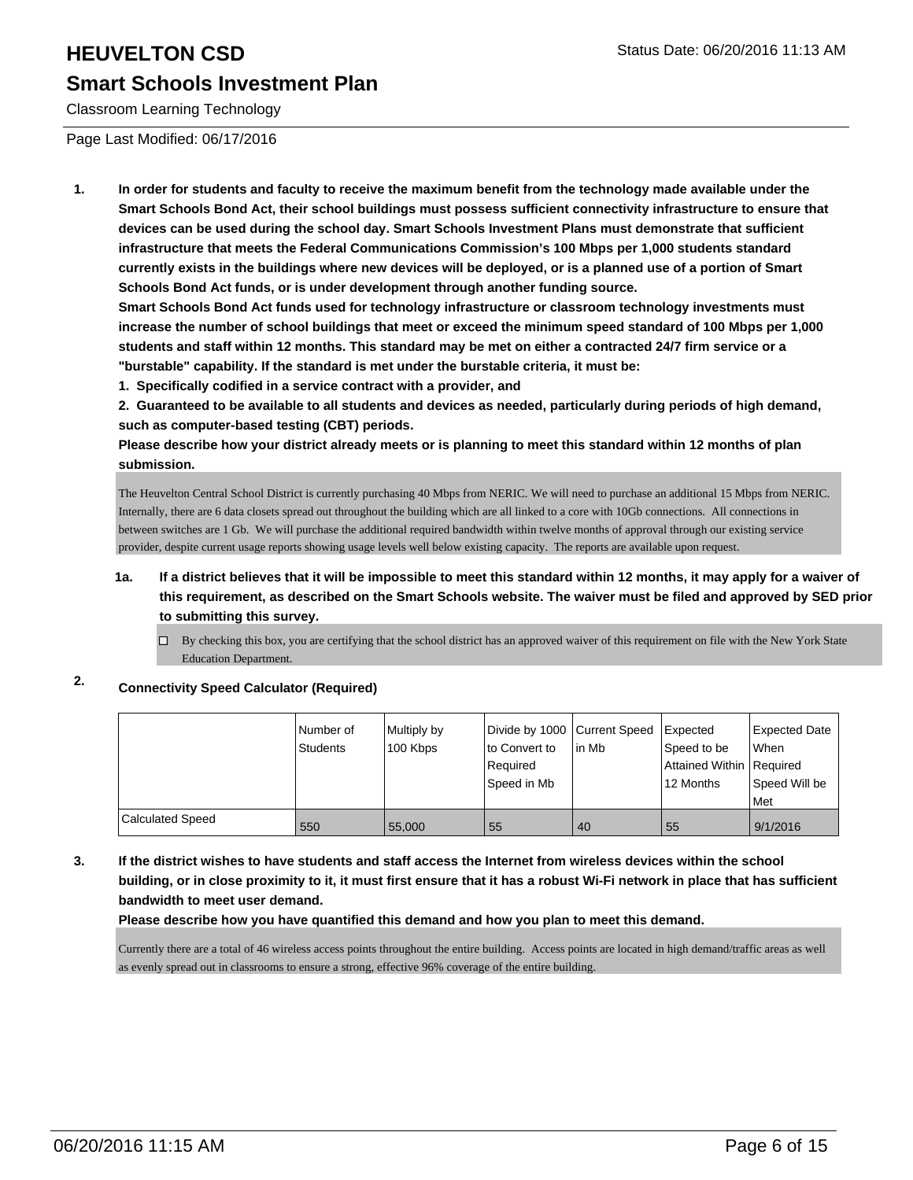# **HEUVELTON CSD Status Date: 06/20/2016 11:13 AM**

## **Smart Schools Investment Plan**

Classroom Learning Technology

Page Last Modified: 06/17/2016

**1. In order for students and faculty to receive the maximum benefit from the technology made available under the Smart Schools Bond Act, their school buildings must possess sufficient connectivity infrastructure to ensure that devices can be used during the school day. Smart Schools Investment Plans must demonstrate that sufficient infrastructure that meets the Federal Communications Commission's 100 Mbps per 1,000 students standard currently exists in the buildings where new devices will be deployed, or is a planned use of a portion of Smart Schools Bond Act funds, or is under development through another funding source.**

**Smart Schools Bond Act funds used for technology infrastructure or classroom technology investments must increase the number of school buildings that meet or exceed the minimum speed standard of 100 Mbps per 1,000 students and staff within 12 months. This standard may be met on either a contracted 24/7 firm service or a "burstable" capability. If the standard is met under the burstable criteria, it must be:**

**1. Specifically codified in a service contract with a provider, and**

**2. Guaranteed to be available to all students and devices as needed, particularly during periods of high demand, such as computer-based testing (CBT) periods.**

**Please describe how your district already meets or is planning to meet this standard within 12 months of plan submission.**

The Heuvelton Central School District is currently purchasing 40 Mbps from NERIC. We will need to purchase an additional 15 Mbps from NERIC. Internally, there are 6 data closets spread out throughout the building which are all linked to a core with 10Gb connections. All connections in between switches are 1 Gb. We will purchase the additional required bandwidth within twelve months of approval through our existing service provider, despite current usage reports showing usage levels well below existing capacity. The reports are available upon request.

#### **1a. If a district believes that it will be impossible to meet this standard within 12 months, it may apply for a waiver of this requirement, as described on the Smart Schools website. The waiver must be filed and approved by SED prior to submitting this survey.**

 $\Box$  By checking this box, you are certifying that the school district has an approved waiver of this requirement on file with the New York State Education Department.

## **2. Connectivity Speed Calculator (Required)**

|                         | Number of<br>Students | Multiply by<br>100 Kbps | Divide by 1000 Current Speed<br>to Convert to<br>Required<br>Speed in Mb | l in Mb | <b>Expected</b><br>Speed to be<br>Attained Within Required<br>12 Months | Expected Date<br><b>When</b><br>Speed Will be |
|-------------------------|-----------------------|-------------------------|--------------------------------------------------------------------------|---------|-------------------------------------------------------------------------|-----------------------------------------------|
|                         |                       |                         |                                                                          |         |                                                                         | Met                                           |
| <b>Calculated Speed</b> | 550                   | 55,000                  | 55                                                                       | 40      | 55                                                                      | 9/1/2016                                      |

#### **3. If the district wishes to have students and staff access the Internet from wireless devices within the school building, or in close proximity to it, it must first ensure that it has a robust Wi-Fi network in place that has sufficient bandwidth to meet user demand.**

**Please describe how you have quantified this demand and how you plan to meet this demand.**

Currently there are a total of 46 wireless access points throughout the entire building. Access points are located in high demand/traffic areas as well as evenly spread out in classrooms to ensure a strong, effective 96% coverage of the entire building.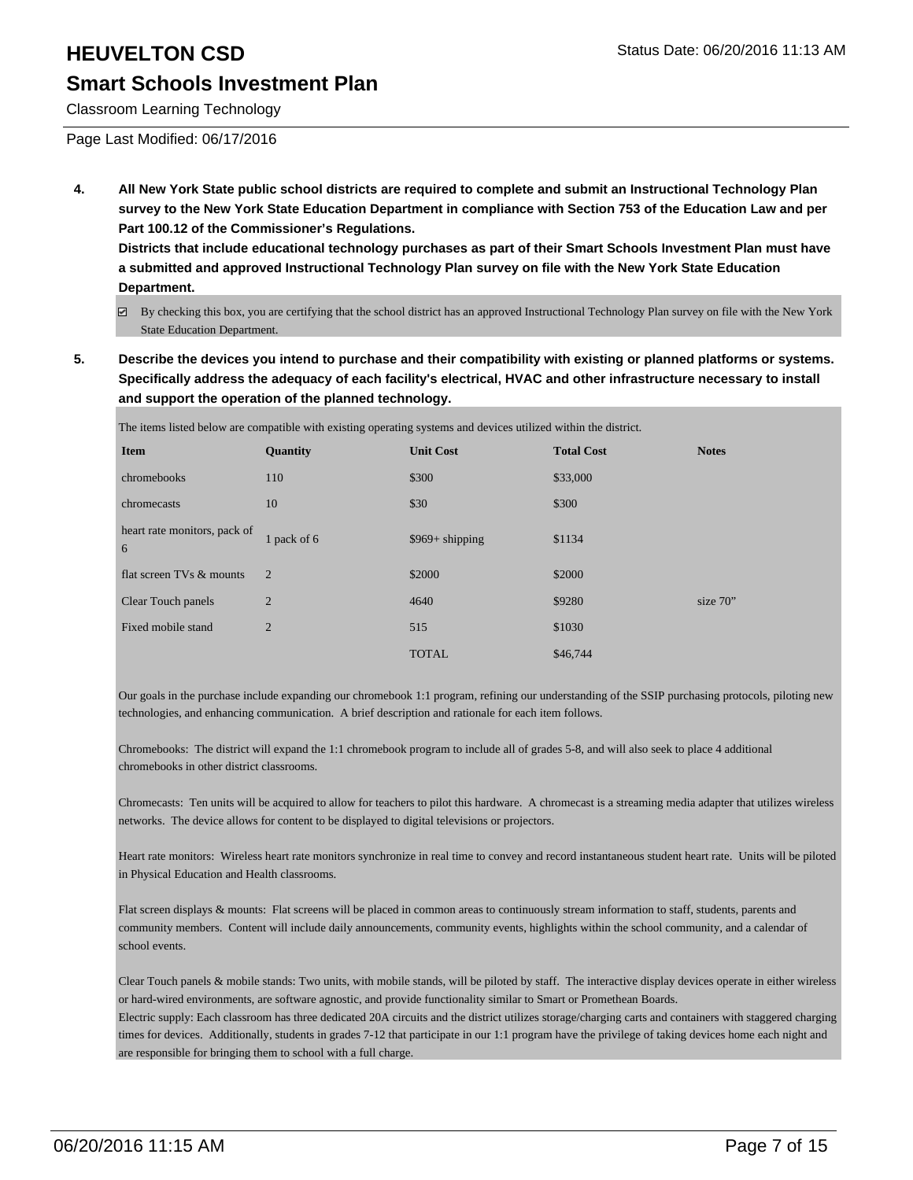Classroom Learning Technology

Page Last Modified: 06/17/2016

**4. All New York State public school districts are required to complete and submit an Instructional Technology Plan survey to the New York State Education Department in compliance with Section 753 of the Education Law and per Part 100.12 of the Commissioner's Regulations.**

**Districts that include educational technology purchases as part of their Smart Schools Investment Plan must have a submitted and approved Instructional Technology Plan survey on file with the New York State Education Department.**

- By checking this box, you are certifying that the school district has an approved Instructional Technology Plan survey on file with the New York State Education Department.
- **5. Describe the devices you intend to purchase and their compatibility with existing or planned platforms or systems. Specifically address the adequacy of each facility's electrical, HVAC and other infrastructure necessary to install and support the operation of the planned technology.**

| The items listed below are compatible with existing operating systems and devices utilized within the district. |                 |                  |                   |              |  |
|-----------------------------------------------------------------------------------------------------------------|-----------------|------------------|-------------------|--------------|--|
| <b>Item</b>                                                                                                     | <b>Quantity</b> | <b>Unit Cost</b> | <b>Total Cost</b> | <b>Notes</b> |  |
| chromebooks                                                                                                     | 110             | \$300            | \$33,000          |              |  |
| chromecasts                                                                                                     | 10              | \$30             | \$300             |              |  |
| heart rate monitors, pack of<br>6                                                                               | 1 pack of 6     | $$969+ shipping$ | \$1134            |              |  |
| flat screen TVs & mounts                                                                                        | 2               | \$2000           | \$2000            |              |  |
| Clear Touch panels                                                                                              | $\overline{2}$  | 4640             | \$9280            | size $70"$   |  |
| Fixed mobile stand                                                                                              | $\overline{2}$  | 515              | \$1030            |              |  |
|                                                                                                                 |                 | <b>TOTAL</b>     | \$46,744          |              |  |

Our goals in the purchase include expanding our chromebook 1:1 program, refining our understanding of the SSIP purchasing protocols, piloting new technologies, and enhancing communication. A brief description and rationale for each item follows.

Chromebooks: The district will expand the 1:1 chromebook program to include all of grades 5-8, and will also seek to place 4 additional chromebooks in other district classrooms.

Chromecasts: Ten units will be acquired to allow for teachers to pilot this hardware. A chromecast is a streaming media adapter that utilizes wireless networks. The device allows for content to be displayed to digital televisions or projectors.

Heart rate monitors: Wireless heart rate monitors synchronize in real time to convey and record instantaneous student heart rate. Units will be piloted in Physical Education and Health classrooms.

Flat screen displays & mounts: Flat screens will be placed in common areas to continuously stream information to staff, students, parents and community members. Content will include daily announcements, community events, highlights within the school community, and a calendar of school events.

Clear Touch panels & mobile stands: Two units, with mobile stands, will be piloted by staff. The interactive display devices operate in either wireless or hard-wired environments, are software agnostic, and provide functionality similar to Smart or Promethean Boards. Electric supply: Each classroom has three dedicated 20A circuits and the district utilizes storage/charging carts and containers with staggered charging times for devices. Additionally, students in grades 7-12 that participate in our 1:1 program have the privilege of taking devices home each night and

are responsible for bringing them to school with a full charge.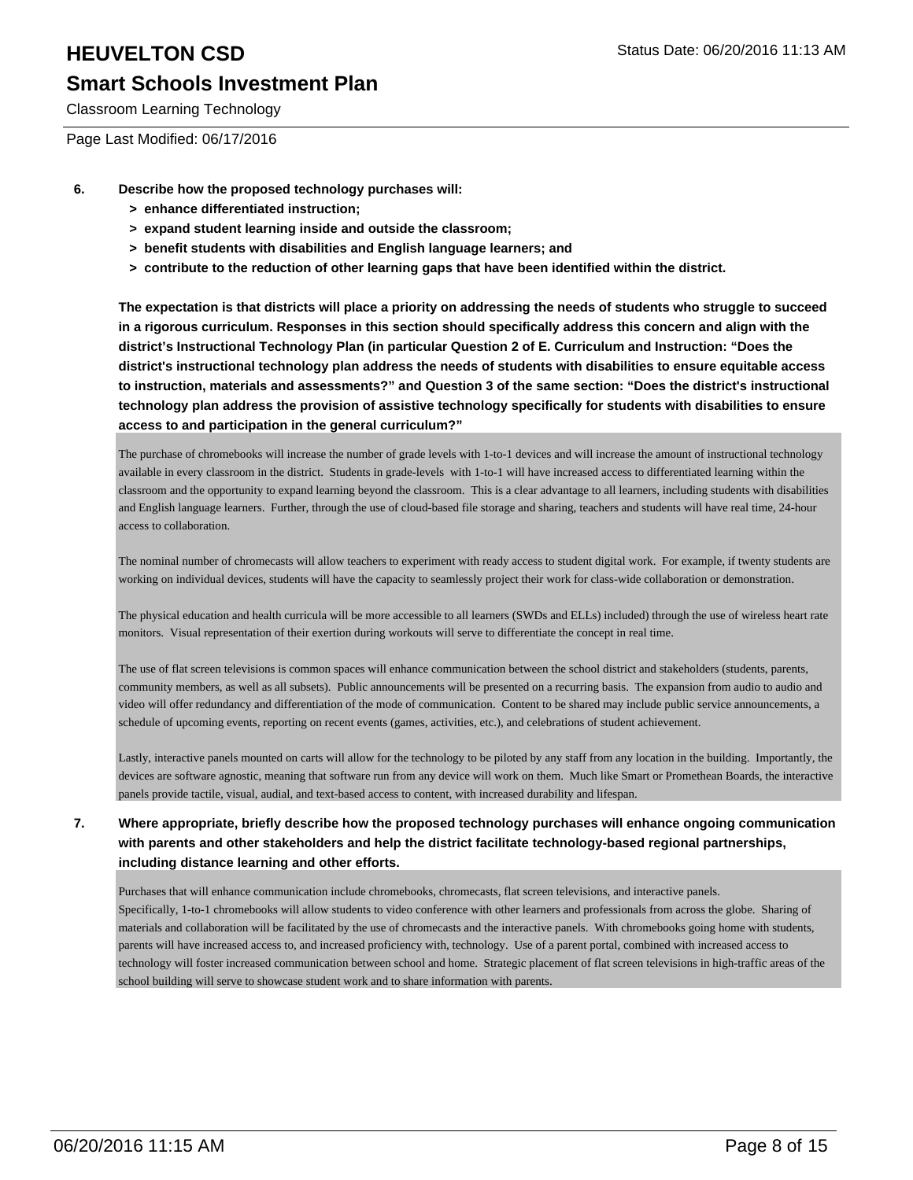Classroom Learning Technology

Page Last Modified: 06/17/2016

- **6. Describe how the proposed technology purchases will:**
	- **> enhance differentiated instruction;**
	- **> expand student learning inside and outside the classroom;**
	- **> benefit students with disabilities and English language learners; and**
	- **> contribute to the reduction of other learning gaps that have been identified within the district.**

**The expectation is that districts will place a priority on addressing the needs of students who struggle to succeed in a rigorous curriculum. Responses in this section should specifically address this concern and align with the district's Instructional Technology Plan (in particular Question 2 of E. Curriculum and Instruction: "Does the district's instructional technology plan address the needs of students with disabilities to ensure equitable access to instruction, materials and assessments?" and Question 3 of the same section: "Does the district's instructional technology plan address the provision of assistive technology specifically for students with disabilities to ensure access to and participation in the general curriculum?"**

The purchase of chromebooks will increase the number of grade levels with 1-to-1 devices and will increase the amount of instructional technology available in every classroom in the district. Students in grade-levels with 1-to-1 will have increased access to differentiated learning within the classroom and the opportunity to expand learning beyond the classroom. This is a clear advantage to all learners, including students with disabilities and English language learners. Further, through the use of cloud-based file storage and sharing, teachers and students will have real time, 24-hour access to collaboration.

The nominal number of chromecasts will allow teachers to experiment with ready access to student digital work. For example, if twenty students are working on individual devices, students will have the capacity to seamlessly project their work for class-wide collaboration or demonstration.

The physical education and health curricula will be more accessible to all learners (SWDs and ELLs) included) through the use of wireless heart rate monitors. Visual representation of their exertion during workouts will serve to differentiate the concept in real time.

The use of flat screen televisions is common spaces will enhance communication between the school district and stakeholders (students, parents, community members, as well as all subsets). Public announcements will be presented on a recurring basis. The expansion from audio to audio and video will offer redundancy and differentiation of the mode of communication. Content to be shared may include public service announcements, a schedule of upcoming events, reporting on recent events (games, activities, etc.), and celebrations of student achievement.

Lastly, interactive panels mounted on carts will allow for the technology to be piloted by any staff from any location in the building. Importantly, the devices are software agnostic, meaning that software run from any device will work on them. Much like Smart or Promethean Boards, the interactive panels provide tactile, visual, audial, and text-based access to content, with increased durability and lifespan.

#### **7. Where appropriate, briefly describe how the proposed technology purchases will enhance ongoing communication with parents and other stakeholders and help the district facilitate technology-based regional partnerships, including distance learning and other efforts.**

Purchases that will enhance communication include chromebooks, chromecasts, flat screen televisions, and interactive panels. Specifically, 1-to-1 chromebooks will allow students to video conference with other learners and professionals from across the globe. Sharing of materials and collaboration will be facilitated by the use of chromecasts and the interactive panels. With chromebooks going home with students, parents will have increased access to, and increased proficiency with, technology. Use of a parent portal, combined with increased access to technology will foster increased communication between school and home. Strategic placement of flat screen televisions in high-traffic areas of the school building will serve to showcase student work and to share information with parents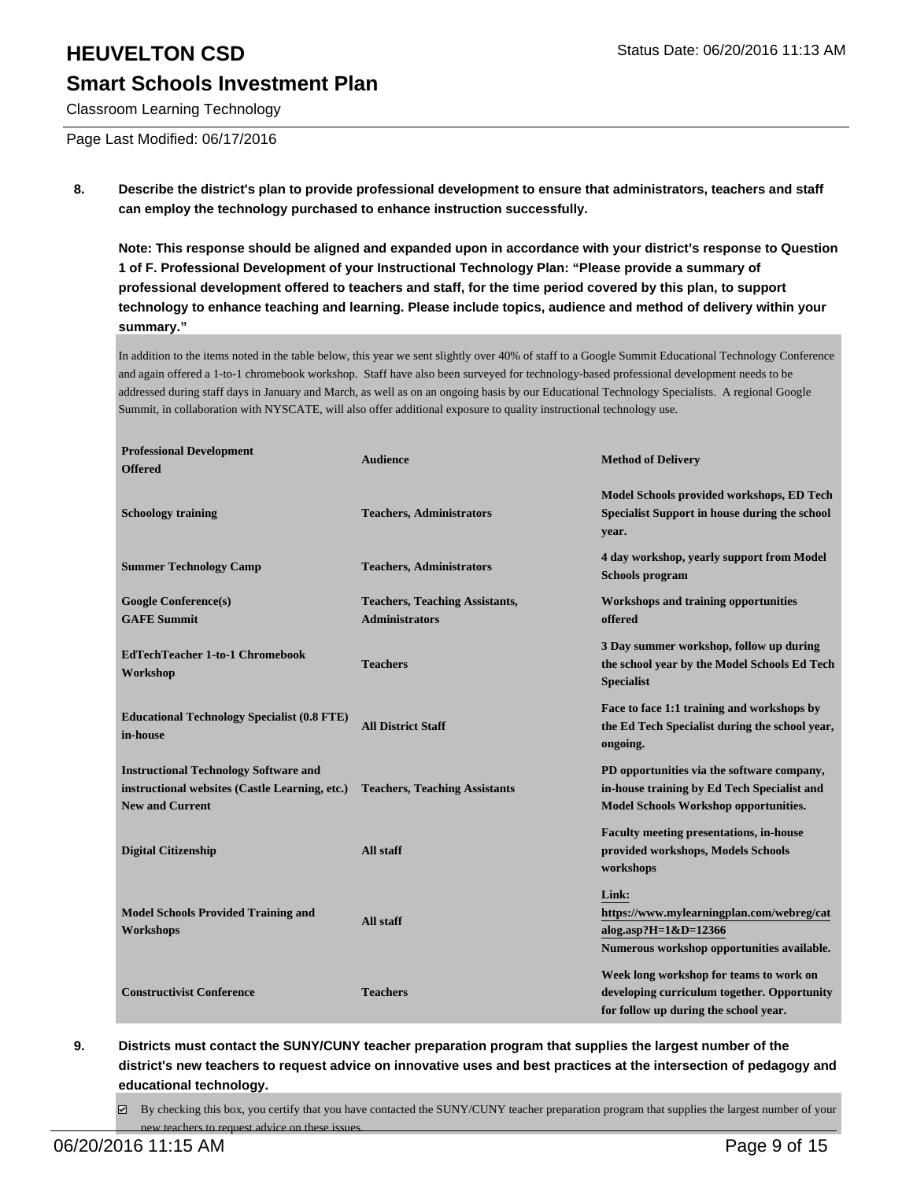# **HEUVELTON CSD Status Date: 06/20/2016 11:13 AM Smart Schools Investment Plan**

#### Classroom Learning Technology

Page Last Modified: 06/17/2016

**8. Describe the district's plan to provide professional development to ensure that administrators, teachers and staff can employ the technology purchased to enhance instruction successfully.**

**Note: This response should be aligned and expanded upon in accordance with your district's response to Question 1 of F. Professional Development of your Instructional Technology Plan: "Please provide a summary of professional development offered to teachers and staff, for the time period covered by this plan, to support technology to enhance teaching and learning. Please include topics, audience and method of delivery within your summary."**

In addition to the items noted in the table below, this year we sent slightly over 40% of staff to a Google Summit Educational Technology Conference and again offered a 1-to-1 chromebook workshop. Staff have also been surveyed for technology-based professional development needs to be addressed during staff days in January and March, as well as on an ongoing basis by our Educational Technology Specialists. A regional Google Summit, in collaboration with NYSCATE, will also offer additional exposure to quality instructional technology use.

| <b>Professional Development</b><br><b>Offered</b>                                                                        | <b>Audience</b>                       | <b>Method of Delivery</b>                                                                                                          |
|--------------------------------------------------------------------------------------------------------------------------|---------------------------------------|------------------------------------------------------------------------------------------------------------------------------------|
| <b>Schoology training</b>                                                                                                | <b>Teachers, Administrators</b>       | Model Schools provided workshops, ED Tech<br>Specialist Support in house during the school<br>year.                                |
| <b>Summer Technology Camp</b>                                                                                            | <b>Teachers, Administrators</b>       | 4 day workshop, yearly support from Model<br><b>Schools program</b>                                                                |
| <b>Google Conference(s)</b>                                                                                              | <b>Teachers, Teaching Assistants,</b> | Workshops and training opportunities                                                                                               |
| <b>GAFE Summit</b>                                                                                                       | <b>Administrators</b>                 | offered                                                                                                                            |
| <b>EdTechTeacher 1-to-1 Chromebook</b><br>Workshop                                                                       | <b>Teachers</b>                       | 3 Day summer workshop, follow up during<br>the school year by the Model Schools Ed Tech<br><b>Specialist</b>                       |
| <b>Educational Technology Specialist (0.8 FTE)</b><br>in-house                                                           | <b>All District Staff</b>             | Face to face 1:1 training and workshops by<br>the Ed Tech Specialist during the school year,<br>ongoing.                           |
| <b>Instructional Technology Software and</b><br>instructional websites (Castle Learning, etc.)<br><b>New and Current</b> | <b>Teachers, Teaching Assistants</b>  | PD opportunities via the software company,<br>in-house training by Ed Tech Specialist and<br>Model Schools Workshop opportunities. |
| <b>Digital Citizenship</b>                                                                                               | <b>All staff</b>                      | <b>Faculty meeting presentations, in-house</b><br>provided workshops, Models Schools<br>workshops                                  |
| <b>Model Schools Provided Training and</b><br>Workshops                                                                  | All staff                             | Link:<br>https://www.mylearningplan.com/webreg/cat<br>alog.asp? $H = 1 & D = 12366$<br>Numerous workshop opportunities available.  |
| <b>Constructivist Conference</b>                                                                                         | <b>Teachers</b>                       | Week long workshop for teams to work on<br>developing curriculum together. Opportunity<br>for follow up during the school year.    |

**9. Districts must contact the SUNY/CUNY teacher preparation program that supplies the largest number of the district's new teachers to request advice on innovative uses and best practices at the intersection of pedagogy and educational technology.**

 $\boxtimes$  By checking this box, you certify that you have contacted the SUNY/CUNY teacher preparation program that supplies the largest number of your new teachers to request advice on these issues.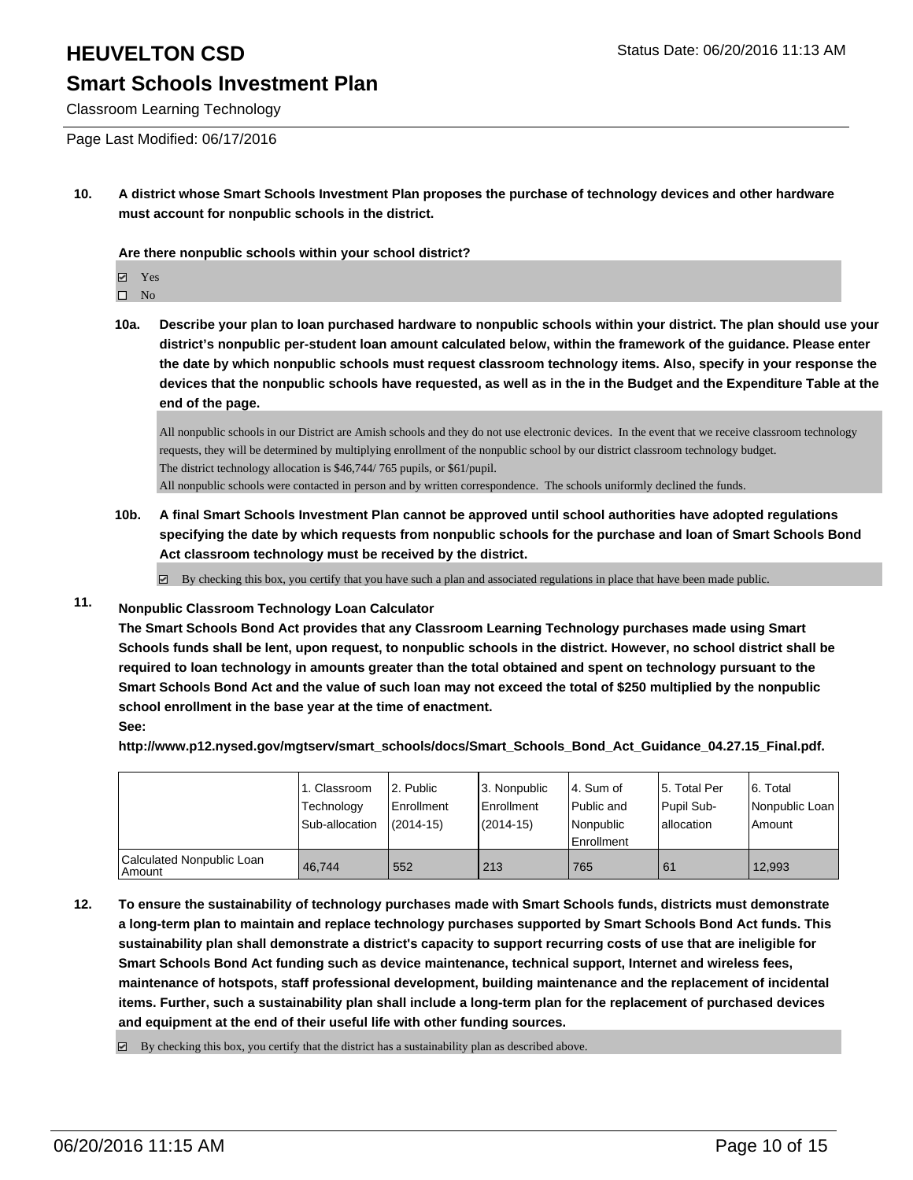Classroom Learning Technology

Page Last Modified: 06/17/2016

**10. A district whose Smart Schools Investment Plan proposes the purchase of technology devices and other hardware must account for nonpublic schools in the district.**

**Are there nonpublic schools within your school district?**

**冈** Yes

 $\hfill \square$  No

**10a. Describe your plan to loan purchased hardware to nonpublic schools within your district. The plan should use your district's nonpublic per-student loan amount calculated below, within the framework of the guidance. Please enter the date by which nonpublic schools must request classroom technology items. Also, specify in your response the devices that the nonpublic schools have requested, as well as in the in the Budget and the Expenditure Table at the end of the page.**

All nonpublic schools in our District are Amish schools and they do not use electronic devices. In the event that we receive classroom technology requests, they will be determined by multiplying enrollment of the nonpublic school by our district classroom technology budget. The district technology allocation is \$46,744/ 765 pupils, or \$61/pupil. All nonpublic schools were contacted in person and by written correspondence. The schools uniformly declined the funds.

**10b. A final Smart Schools Investment Plan cannot be approved until school authorities have adopted regulations specifying the date by which requests from nonpublic schools for the purchase and loan of Smart Schools Bond Act classroom technology must be received by the district.**

 $\overline{\mathcal{L}}$ By checking this box, you certify that you have such a plan and associated regulations in place that have been made public.

#### **11. Nonpublic Classroom Technology Loan Calculator**

**The Smart Schools Bond Act provides that any Classroom Learning Technology purchases made using Smart Schools funds shall be lent, upon request, to nonpublic schools in the district. However, no school district shall be required to loan technology in amounts greater than the total obtained and spent on technology pursuant to the Smart Schools Bond Act and the value of such loan may not exceed the total of \$250 multiplied by the nonpublic school enrollment in the base year at the time of enactment.**

**See:**

**http://www.p12.nysed.gov/mgtserv/smart\_schools/docs/Smart\_Schools\_Bond\_Act\_Guidance\_04.27.15\_Final.pdf.**

|                                     | 1. Classroom<br>Technology<br>Sub-allocation | 2. Public<br><b>Enrollment</b><br>$(2014 - 15)$ | 3. Nonpublic<br><b>Enrollment</b><br>(2014-15) | l 4. Sum of<br>Public and<br>Nonpublic<br><b>Enrollment</b> | 5. Total Per<br>Pupil Sub-<br>lallocation | 6. Total<br>Nonpublic Loan<br>Amount |
|-------------------------------------|----------------------------------------------|-------------------------------------------------|------------------------------------------------|-------------------------------------------------------------|-------------------------------------------|--------------------------------------|
| Calculated Nonpublic Loan<br>Amount | 46.744                                       | 552                                             | 213                                            | 765                                                         | l 61                                      | 12.993                               |

**12. To ensure the sustainability of technology purchases made with Smart Schools funds, districts must demonstrate a long-term plan to maintain and replace technology purchases supported by Smart Schools Bond Act funds. This sustainability plan shall demonstrate a district's capacity to support recurring costs of use that are ineligible for Smart Schools Bond Act funding such as device maintenance, technical support, Internet and wireless fees, maintenance of hotspots, staff professional development, building maintenance and the replacement of incidental items. Further, such a sustainability plan shall include a long-term plan for the replacement of purchased devices and equipment at the end of their useful life with other funding sources.**

 $\boxtimes$  By checking this box, you certify that the district has a sustainability plan as described above.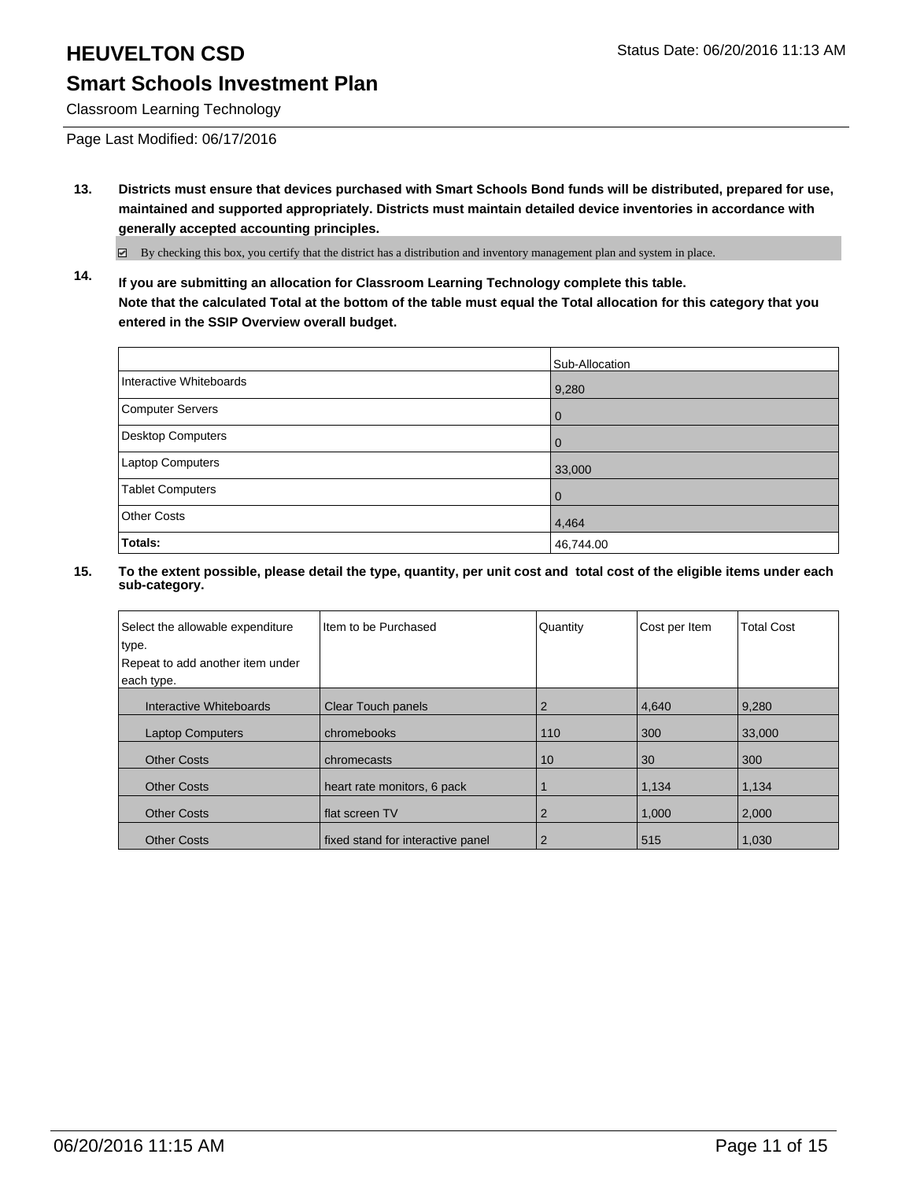Classroom Learning Technology

Page Last Modified: 06/17/2016

**13. Districts must ensure that devices purchased with Smart Schools Bond funds will be distributed, prepared for use, maintained and supported appropriately. Districts must maintain detailed device inventories in accordance with generally accepted accounting principles.**

By checking this box, you certify that the district has a distribution and inventory management plan and system in place.

**14. If you are submitting an allocation for Classroom Learning Technology complete this table. Note that the calculated Total at the bottom of the table must equal the Total allocation for this category that you entered in the SSIP Overview overall budget.**

|                          | Sub-Allocation |
|--------------------------|----------------|
| Interactive Whiteboards  | 9,280          |
| Computer Servers         | $\Omega$       |
| <b>Desktop Computers</b> | $\Omega$       |
| Laptop Computers         | 33,000         |
| <b>Tablet Computers</b>  | $\Omega$       |
| <b>Other Costs</b>       | 4,464          |
| Totals:                  | 46,744.00      |

| Select the allowable expenditure | Item to be Purchased              | Quantity | Cost per Item | <b>Total Cost</b> |
|----------------------------------|-----------------------------------|----------|---------------|-------------------|
| type.                            |                                   |          |               |                   |
| Repeat to add another item under |                                   |          |               |                   |
| each type.                       |                                   |          |               |                   |
| Interactive Whiteboards          | <b>Clear Touch panels</b>         | 2        | 4,640         | 9,280             |
| <b>Laptop Computers</b>          | chromebooks                       | 110      | 300           | 33,000            |
| <b>Other Costs</b>               | chromecasts                       | 10       | 30            | 300               |
| <b>Other Costs</b>               | heart rate monitors, 6 pack       |          | 1,134         | 1,134             |
| <b>Other Costs</b>               | I flat screen TV                  | 2        | 1,000         | 2,000             |
| <b>Other Costs</b>               | fixed stand for interactive panel |          | 515           | 1.030             |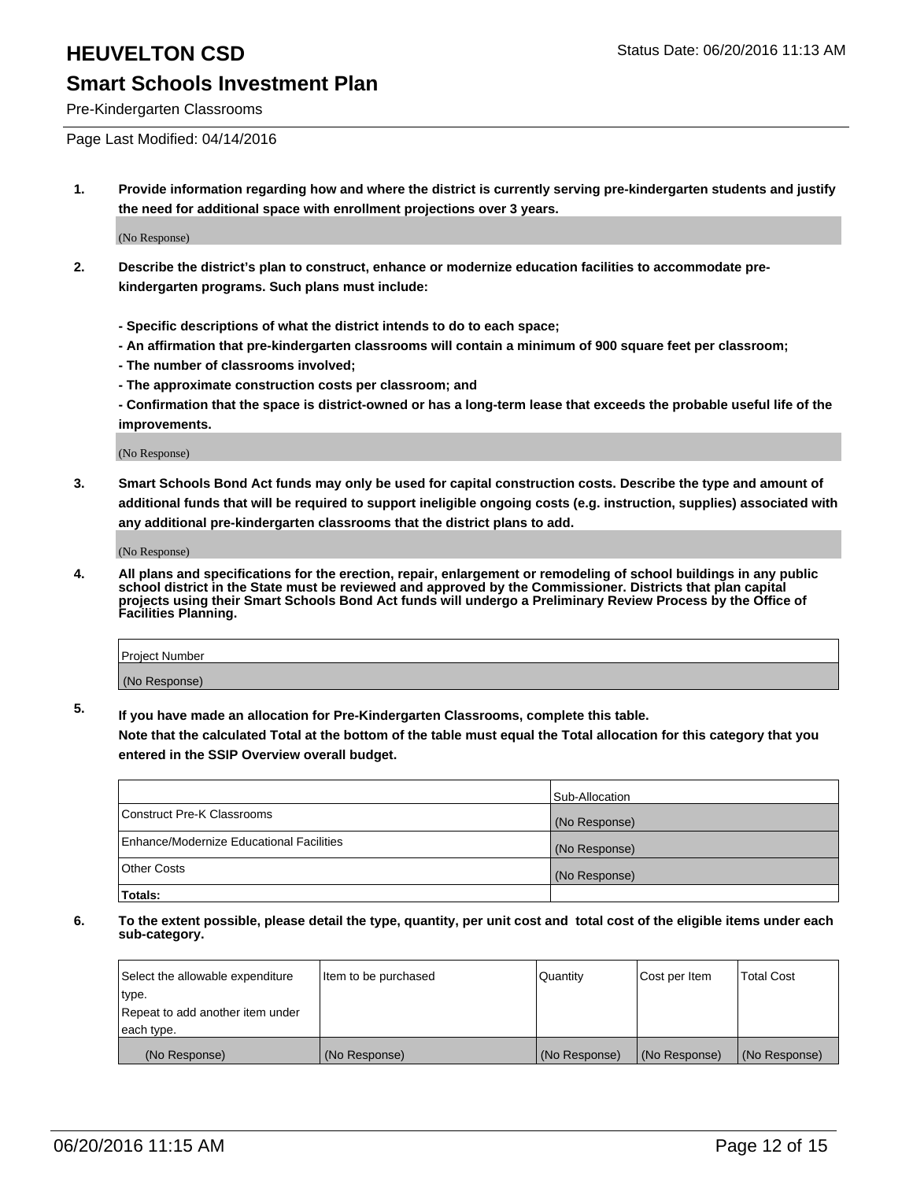# **HEUVELTON CSD Status Date: 06/20/2016 11:13 AM**

## **Smart Schools Investment Plan**

Pre-Kindergarten Classrooms

Page Last Modified: 04/14/2016

**1. Provide information regarding how and where the district is currently serving pre-kindergarten students and justify the need for additional space with enrollment projections over 3 years.**

(No Response)

- **2. Describe the district's plan to construct, enhance or modernize education facilities to accommodate prekindergarten programs. Such plans must include:**
	- **Specific descriptions of what the district intends to do to each space;**
	- **An affirmation that pre-kindergarten classrooms will contain a minimum of 900 square feet per classroom;**
	- **The number of classrooms involved;**
	- **The approximate construction costs per classroom; and**
	- **Confirmation that the space is district-owned or has a long-term lease that exceeds the probable useful life of the improvements.**

(No Response)

**3. Smart Schools Bond Act funds may only be used for capital construction costs. Describe the type and amount of additional funds that will be required to support ineligible ongoing costs (e.g. instruction, supplies) associated with any additional pre-kindergarten classrooms that the district plans to add.**

(No Response)

**4. All plans and specifications for the erection, repair, enlargement or remodeling of school buildings in any public school district in the State must be reviewed and approved by the Commissioner. Districts that plan capital projects using their Smart Schools Bond Act funds will undergo a Preliminary Review Process by the Office of Facilities Planning.**

| Project Number |  |
|----------------|--|
| (No Response)  |  |

**5. If you have made an allocation for Pre-Kindergarten Classrooms, complete this table.**

**Note that the calculated Total at the bottom of the table must equal the Total allocation for this category that you entered in the SSIP Overview overall budget.**

|                                          | Sub-Allocation |
|------------------------------------------|----------------|
| Construct Pre-K Classrooms               | (No Response)  |
| Enhance/Modernize Educational Facilities | (No Response)  |
| Other Costs                              | (No Response)  |
| Totals:                                  |                |

| Select the allowable expenditure | Item to be purchased | Quantity      | Cost per Item | <b>Total Cost</b> |
|----------------------------------|----------------------|---------------|---------------|-------------------|
| type.                            |                      |               |               |                   |
| Repeat to add another item under |                      |               |               |                   |
| each type.                       |                      |               |               |                   |
| (No Response)                    | (No Response)        | (No Response) | (No Response) | (No Response)     |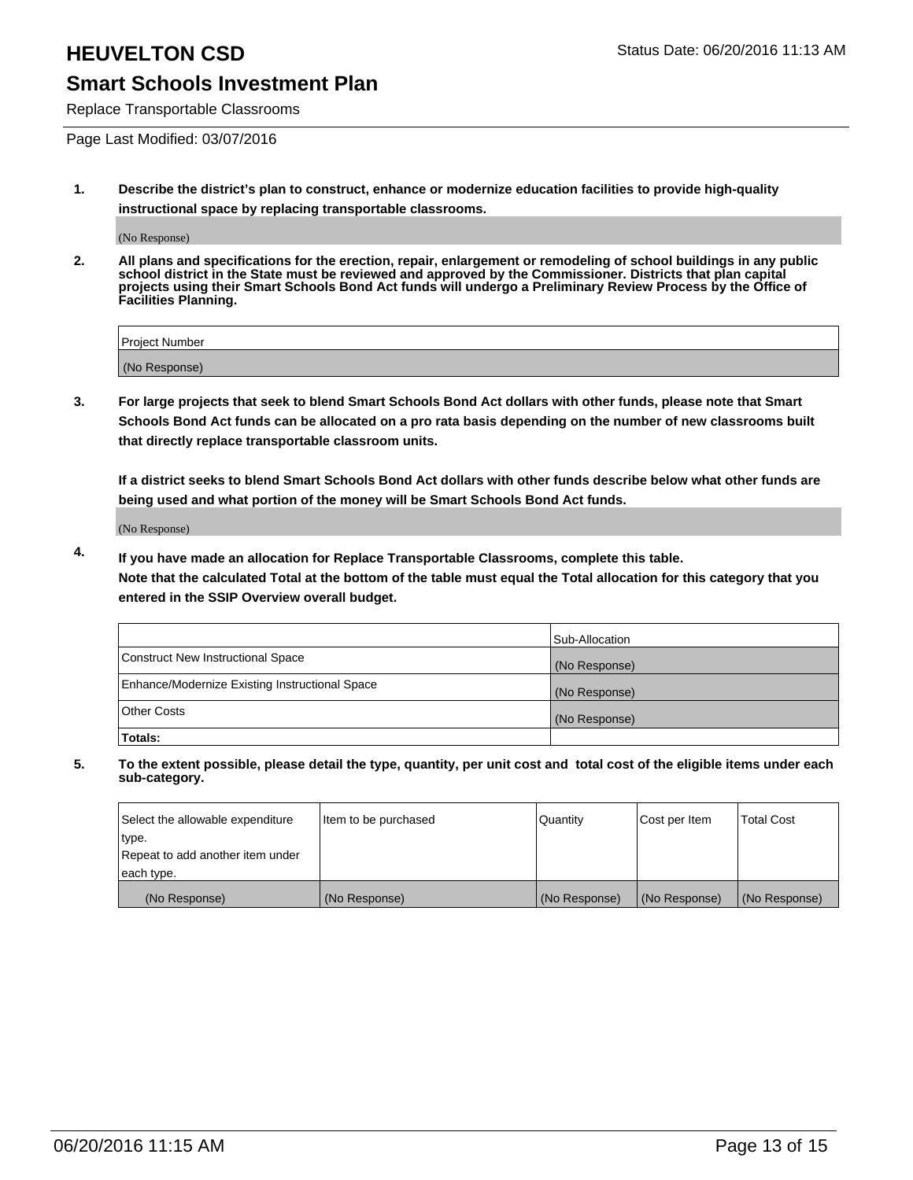Replace Transportable Classrooms

Page Last Modified: 03/07/2016

**1. Describe the district's plan to construct, enhance or modernize education facilities to provide high-quality instructional space by replacing transportable classrooms.**

(No Response)

**2. All plans and specifications for the erection, repair, enlargement or remodeling of school buildings in any public school district in the State must be reviewed and approved by the Commissioner. Districts that plan capital projects using their Smart Schools Bond Act funds will undergo a Preliminary Review Process by the Office of Facilities Planning.**

| <b>Project Number</b> |  |
|-----------------------|--|
| (No Response)         |  |

**3. For large projects that seek to blend Smart Schools Bond Act dollars with other funds, please note that Smart Schools Bond Act funds can be allocated on a pro rata basis depending on the number of new classrooms built that directly replace transportable classroom units.**

**If a district seeks to blend Smart Schools Bond Act dollars with other funds describe below what other funds are being used and what portion of the money will be Smart Schools Bond Act funds.**

(No Response)

**4. If you have made an allocation for Replace Transportable Classrooms, complete this table. Note that the calculated Total at the bottom of the table must equal the Total allocation for this category that you entered in the SSIP Overview overall budget.**

|                                                | Sub-Allocation |
|------------------------------------------------|----------------|
| Construct New Instructional Space              | (No Response)  |
| Enhance/Modernize Existing Instructional Space | (No Response)  |
| <b>Other Costs</b>                             | (No Response)  |
| Totals:                                        |                |

| Select the allowable expenditure | Item to be purchased | <b>Quantity</b> | Cost per Item | <b>Total Cost</b> |
|----------------------------------|----------------------|-----------------|---------------|-------------------|
| type.                            |                      |                 |               |                   |
| Repeat to add another item under |                      |                 |               |                   |
| each type.                       |                      |                 |               |                   |
| (No Response)                    | (No Response)        | (No Response)   | (No Response) | (No Response)     |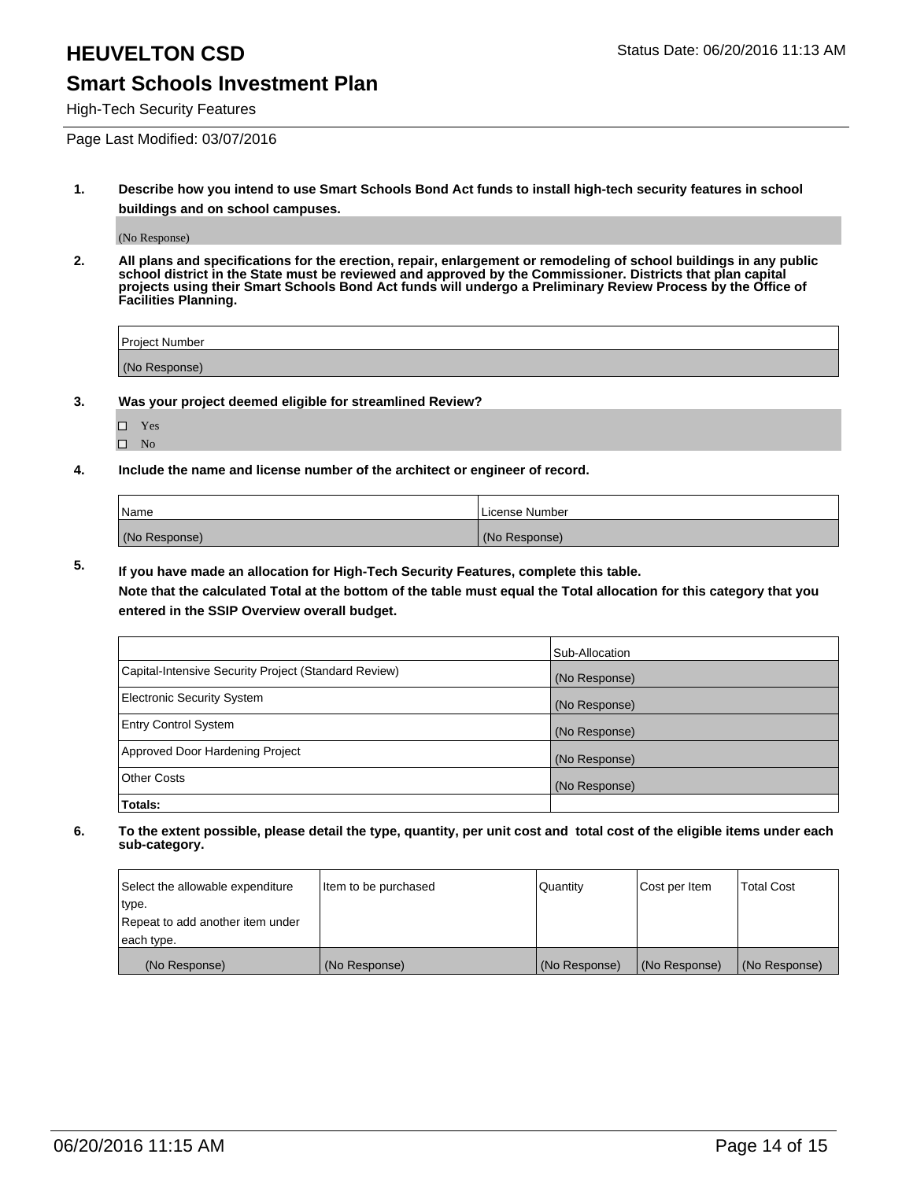High-Tech Security Features

Page Last Modified: 03/07/2016

**1. Describe how you intend to use Smart Schools Bond Act funds to install high-tech security features in school buildings and on school campuses.**

(No Response)

**2. All plans and specifications for the erection, repair, enlargement or remodeling of school buildings in any public school district in the State must be reviewed and approved by the Commissioner. Districts that plan capital projects using their Smart Schools Bond Act funds will undergo a Preliminary Review Process by the Office of Facilities Planning.** 

| Project Number |  |
|----------------|--|
| (No Response)  |  |

**3. Was your project deemed eligible for streamlined Review?**

□ Yes  $\hfill \square$  <br> No

**4. Include the name and license number of the architect or engineer of record.**

| Name          | License Number |
|---------------|----------------|
| (No Response) | (No Response)  |

**5. If you have made an allocation for High-Tech Security Features, complete this table.**

**Note that the calculated Total at the bottom of the table must equal the Total allocation for this category that you entered in the SSIP Overview overall budget.**

|                                                      | Sub-Allocation |
|------------------------------------------------------|----------------|
| Capital-Intensive Security Project (Standard Review) | (No Response)  |
| <b>Electronic Security System</b>                    | (No Response)  |
| <b>Entry Control System</b>                          | (No Response)  |
| Approved Door Hardening Project                      | (No Response)  |
| <b>Other Costs</b>                                   | (No Response)  |
| Totals:                                              |                |

| Select the allowable expenditure | Item to be purchased | Quantity      | Cost per Item | <b>Total Cost</b> |
|----------------------------------|----------------------|---------------|---------------|-------------------|
| type.                            |                      |               |               |                   |
| Repeat to add another item under |                      |               |               |                   |
| each type.                       |                      |               |               |                   |
| (No Response)                    | (No Response)        | (No Response) | (No Response) | (No Response)     |